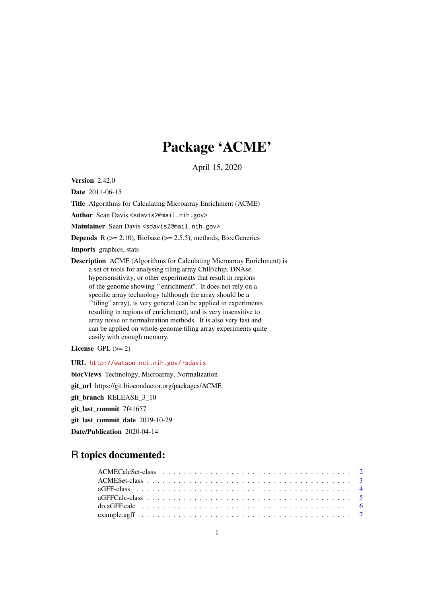# Package 'ACME'

April 15, 2020

<span id="page-0-0"></span>Version 2.42.0

Date 2011-06-15

Title Algorithms for Calculating Microarray Enrichment (ACME)

Author Sean Davis <sdavis2@mail.nih.gov>

Maintainer Sean Davis <sdavis2@mail.nih.gov>

**Depends** R  $(>= 2.10)$ , Biobase  $(>= 2.5.5)$ , methods, BiocGenerics

Imports graphics, stats

Description ACME (Algorithms for Calculating Microarray Enrichment) is a set of tools for analysing tiling array ChIP/chip, DNAse hypersensitivity, or other experiments that result in regions of the genome showing ``enrichment''. It does not rely on a specific array technology (although the array should be a ``tiling'' array), is very general (can be applied in experiments resulting in regions of enrichment), and is very insensitive to array noise or normalization methods. It is also very fast and can be applied on whole-genome tiling array experiments quite easily with enough memory.

License GPL  $(>= 2)$ 

URL <http://watson.nci.nih.gov/~sdavis>

biocViews Technology, Microarray, Normalization git\_url https://git.bioconductor.org/packages/ACME git\_branch RELEASE\_3\_10 git last commit 7f41657 git\_last\_commit\_date 2019-10-29 Date/Publication 2020-04-14

# R topics documented:

| example.agff $\ldots \ldots \ldots \ldots \ldots \ldots \ldots \ldots \ldots \ldots \ldots \ldots \ldots$ |  |  |  |  |
|-----------------------------------------------------------------------------------------------------------|--|--|--|--|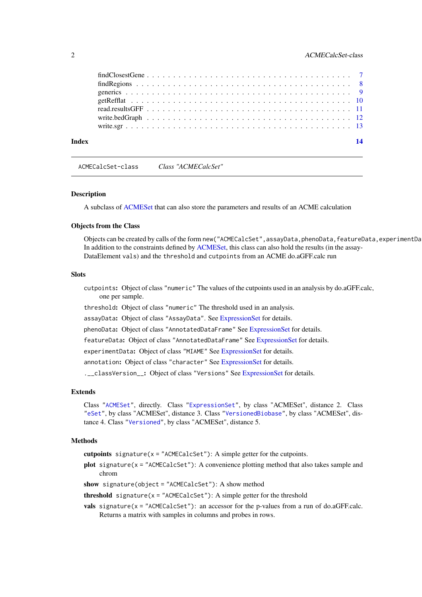# <span id="page-1-0"></span>2 ACMECalcSet-class

| Index |                                                                                                               | $\overline{14}$ |
|-------|---------------------------------------------------------------------------------------------------------------|-----------------|
|       |                                                                                                               |                 |
|       |                                                                                                               |                 |
|       |                                                                                                               |                 |
|       |                                                                                                               |                 |
|       |                                                                                                               |                 |
|       |                                                                                                               |                 |
|       | $findClosesGene \ldots \ldots \ldots \ldots \ldots \ldots \ldots \ldots \ldots \ldots \ldots \ldots \ldots 7$ |                 |

<span id="page-1-1"></span>ACMECalcSet-class *Class "ACMECalcSet"*

#### **Description**

A subclass of [ACMESet](#page-2-1) that can also store the parameters and results of an ACME calculation

#### Objects from the Class

Objects can be created by calls of the form new("ACMECalcSet", assayData, phenoData, featureData, experimentDa In addition to the constraints defined by [ACMESet,](#page-2-1) this class can also hold the results (in the assay-DataElement vals) and the threshold and cutpoints from an ACME do.aGFF.calc run

# Slots

- cutpoints: Object of class "numeric" The values of the cutpoints used in an analysis by do.aGFF.calc, one per sample.
- threshold: Object of class "numeric" The threshold used in an analysis.
- assayData: Object of class "AssayData". See [ExpressionSet](#page-0-0) for details.
- phenoData: Object of class "AnnotatedDataFrame" See [ExpressionSet](#page-0-0) for details.
- featureData: Object of class "AnnotatedDataFrame" See [ExpressionSet](#page-0-0) for details.
- experimentData: Object of class "MIAME" See [ExpressionSet](#page-0-0) for details.
- annotation: Object of class "character" See [ExpressionSet](#page-0-0) for details.

.\_\_classVersion\_\_: Object of class "Versions" See [ExpressionSet](#page-0-0) for details.

#### Extends

Class ["ACMESet"](#page-2-1), directly. Class ["ExpressionSet"](#page-0-0), by class "ACMESet", distance 2. Class ["eSet"](#page-0-0), by class "ACMESet", distance 3. Class ["VersionedBiobase"](#page-0-0), by class "ACMESet", distance 4. Class ["Versioned"](#page-0-0), by class "ACMESet", distance 5.

# **Methods**

- cutpoints signature( $x =$  "ACMECalcSet"): A simple getter for the cutpoints.
- plot signature(x = "ACMECalcSet"): A convenience plotting method that also takes sample and chrom
- show signature(object = "ACMECalcSet"): A show method

**threshold** signature( $x =$ "ACMECalcSet"): A simple getter for the threshold

vals signature(x = "ACMECalcSet"): an accessor for the p-values from a run of do.aGFF.calc. Returns a matrix with samples in columns and probes in rows.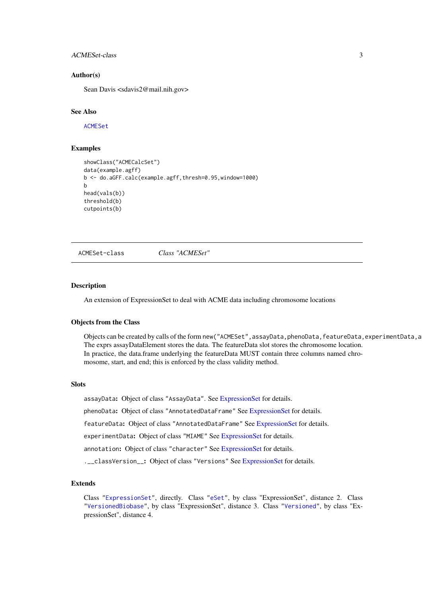#### <span id="page-2-0"></span>ACMESet-class 3

#### Author(s)

Sean Davis <sdavis2@mail.nih.gov>

#### See Also

[ACMESet](#page-2-1)

# Examples

```
showClass("ACMECalcSet")
data(example.agff)
b <- do.aGFF.calc(example.agff,thresh=0.95,window=1000)
b
head(vals(b))
threshold(b)
cutpoints(b)
```

```
ACMESet-class Class "ACMESet"
```
#### Description

An extension of ExpressionSet to deal with ACME data including chromosome locations

# Objects from the Class

Objects can be created by calls of the form new("ACMESet", assayData,phenoData,featureData,experimentData,a The exprs assayDataElement stores the data. The featureData slot stores the chromosome location. In practice, the data.frame underlying the featureData MUST contain three columns named chromosome, start, and end; this is enforced by the class validity method.

#### Slots

assayData: Object of class "AssayData". See [ExpressionSet](#page-0-0) for details.

phenoData: Object of class "AnnotatedDataFrame" See [ExpressionSet](#page-0-0) for details.

featureData: Object of class "AnnotatedDataFrame" See [ExpressionSet](#page-0-0) for details.

experimentData: Object of class "MIAME" See [ExpressionSet](#page-0-0) for details.

annotation: Object of class "character" See [ExpressionSet](#page-0-0) for details.

.\_\_classVersion\_: Object of class "Versions" See [ExpressionSet](#page-0-0) for details.

#### Extends

Class ["ExpressionSet"](#page-0-0), directly. Class ["eSet"](#page-0-0), by class "ExpressionSet", distance 2. Class ["VersionedBiobase"](#page-0-0), by class "ExpressionSet", distance 3. Class ["Versioned"](#page-0-0), by class "ExpressionSet", distance 4.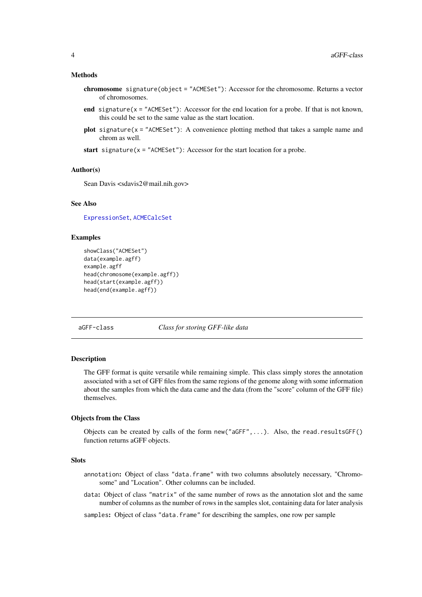#### <span id="page-3-0"></span>Methods

- chromosome signature(object = "ACMESet"): Accessor for the chromosome. Returns a vector of chromosomes.
- end signature( $x =$ "ACMESet"): Accessor for the end location for a probe. If that is not known, this could be set to the same value as the start location.
- **plot** signature( $x =$  "ACMESet"): A convenience plotting method that takes a sample name and chrom as well.
- start signature(x = "ACMESet"): Accessor for the start location for a probe.

#### Author(s)

Sean Davis <sdavis2@mail.nih.gov>

#### See Also

[ExpressionSet](#page-0-0), [ACMECalcSet](#page-1-1)

# Examples

```
showClass("ACMESet")
data(example.agff)
example.agff
head(chromosome(example.agff))
head(start(example.agff))
head(end(example.agff))
```
<span id="page-3-1"></span>aGFF-class *Class for storing GFF-like data*

#### Description

The GFF format is quite versatile while remaining simple. This class simply stores the annotation associated with a set of GFF files from the same regions of the genome along with some information about the samples from which the data came and the data (from the "score" column of the GFF file) themselves.

# Objects from the Class

Objects can be created by calls of the form new("aGFF",...). Also, the read.resultsGFF() function returns aGFF objects.

# **Slots**

annotation: Object of class "data.frame" with two columns absolutely necessary, "Chromosome" and "Location". Other columns can be included.

data: Object of class "matrix" of the same number of rows as the annotation slot and the same number of columns as the number of rows in the samples slot, containing data for later analysis

samples: Object of class "data. frame" for describing the samples, one row per sample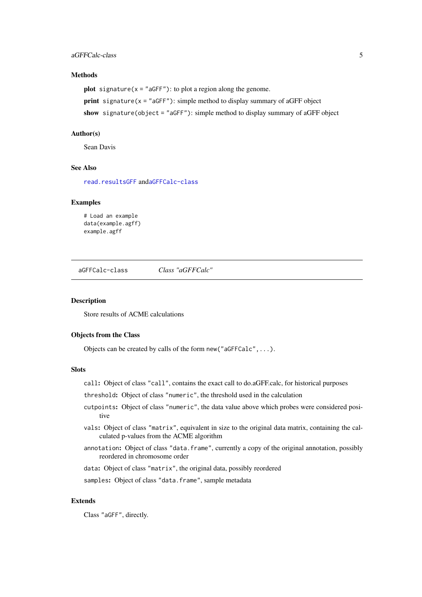#### <span id="page-4-0"></span>aGFFCalc-class 5

# Methods

**plot** signature( $x =$ "aGFF"): to plot a region along the genome.

**print** signature( $x =$ "aGFF"): simple method to display summary of aGFF object

show signature(object = "aGFF"): simple method to display summary of aGFF object

#### Author(s)

Sean Davis

# See Also

[read.resultsGFF](#page-10-1) and[aGFFCalc-class](#page-4-1)

#### Examples

# Load an example data(example.agff) example.agff

<span id="page-4-1"></span>aGFFCalc-class *Class "aGFFCalc"*

# Description

Store results of ACME calculations

#### Objects from the Class

Objects can be created by calls of the form new("aGFFCalc",...).

# Slots

- call: Object of class "call", contains the exact call to do.aGFF.calc, for historical purposes
- threshold: Object of class "numeric", the threshold used in the calculation
- cutpoints: Object of class "numeric", the data value above which probes were considered positive
- vals: Object of class "matrix", equivalent in size to the original data matrix, containing the calculated p-values from the ACME algorithm
- annotation: Object of class "data.frame", currently a copy of the original annotation, possibly reordered in chromosome order

data: Object of class "matrix", the original data, possibly reordered

samples: Object of class "data.frame", sample metadata

# Extends

Class "aGFF", directly.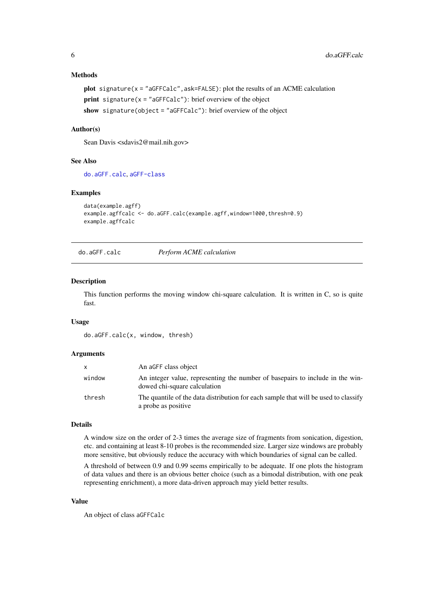# Methods

```
plot signature(x = "aGFFCalc", ask=FALSE): plot the results of an ACME calculation
print signature(x ="aGFFCalc"): brief overview of the object
show signature(object = "aGFFCalc"): brief overview of the object
```
# Author(s)

Sean Davis <sdavis2@mail.nih.gov>

#### See Also

[do.aGFF.calc](#page-5-1), [aGFF-class](#page-3-1)

#### Examples

```
data(example.agff)
example.agffcalc <- do.aGFF.calc(example.agff,window=1000,thresh=0.9)
example.agffcalc
```
<span id="page-5-1"></span>do.aGFF.calc *Perform ACME calculation*

#### Description

This function performs the moving window chi-square calculation. It is written in C, so is quite fast.

# Usage

do.aGFF.calc(x, window, thresh)

#### Arguments

| <b>X</b> | An aGFF class object                                                                                          |
|----------|---------------------------------------------------------------------------------------------------------------|
| window   | An integer value, representing the number of basepairs to include in the win-<br>dowed chi-square calculation |
| thresh   | The quantile of the data distribution for each sample that will be used to classify<br>a probe as positive    |

# Details

A window size on the order of 2-3 times the average size of fragments from sonication, digestion, etc. and containing at least 8-10 probes is the recommended size. Larger size windows are probably more sensitive, but obviously reduce the accuracy with which boundaries of signal can be called.

A threshold of between 0.9 and 0.99 seems empirically to be adequate. If one plots the histogram of data values and there is an obvious better choice (such as a bimodal distribution, with one peak representing enrichment), a more data-driven approach may yield better results.

#### Value

An object of class aGFFCalc

<span id="page-5-0"></span>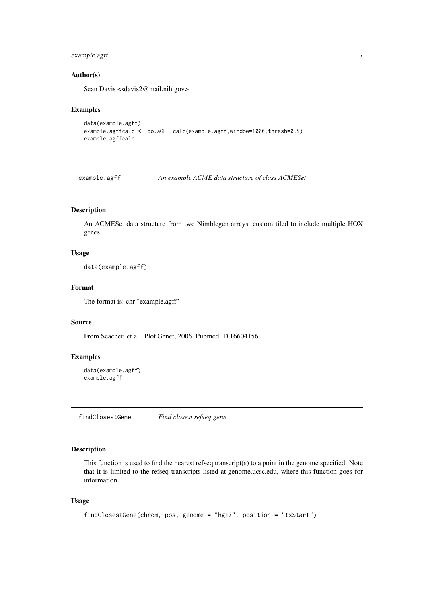# <span id="page-6-0"></span>example.agff 7

# Author(s)

Sean Davis <sdavis2@mail.nih.gov>

# Examples

```
data(example.agff)
example.agffcalc <- do.aGFF.calc(example.agff,window=1000,thresh=0.9)
example.agffcalc
```
example.agff *An example ACME data structure of class ACMESet*

# Description

An ACMESet data structure from two Nimblegen arrays, custom tiled to include multiple HOX genes.

# Usage

```
data(example.agff)
```
# Format

The format is: chr "example.agff"

# Source

From Scacheri et al., Plot Genet, 2006. Pubmed ID 16604156

# Examples

```
data(example.agff)
example.agff
```
<span id="page-6-1"></span>findClosestGene *Find closest refseq gene*

# Description

This function is used to find the nearest refseq transcript(s) to a point in the genome specified. Note that it is limited to the refseq transcripts listed at genome.ucsc.edu, where this function goes for information.

# Usage

```
findClosestGene(chrom, pos, genome = "hg17", position = "txStart")
```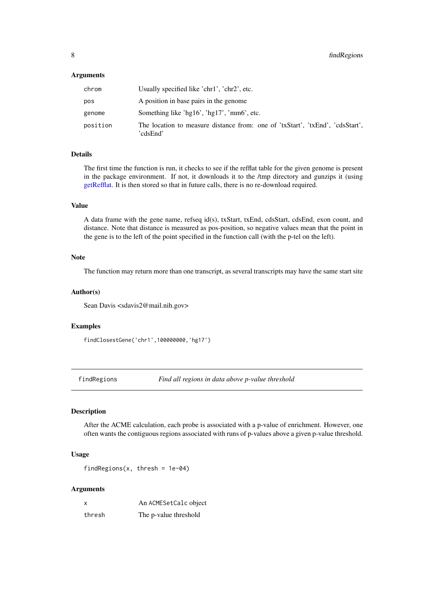# <span id="page-7-0"></span>Arguments

| chrom    | Usually specified like 'chr1', 'chr2', etc.                                               |
|----------|-------------------------------------------------------------------------------------------|
| pos      | A position in base pairs in the genome                                                    |
| genome   | Something like 'hg16', 'hg17', 'mm6', etc.                                                |
| position | The location to measure distance from: one of 'txStart', 'txEnd', 'cdsStart',<br>'cdsEnd' |

# Details

The first time the function is run, it checks to see if the refflat table for the given genome is present in the package environment. If not, it downloads it to the /tmp directory and gunzips it (using [getRefflat.](#page-9-1) It is then stored so that in future calls, there is no re-download required.

# Value

A data frame with the gene name, refseq id(s), txStart, txEnd, cdsStart, cdsEnd, exon count, and distance. Note that distance is measured as pos-position, so negative values mean that the point in the gene is to the left of the point specified in the function call (with the p-tel on the left).

# Note

The function may return more than one transcript, as several transcripts may have the same start site

#### Author(s)

Sean Davis <sdavis2@mail.nih.gov>

#### Examples

findClosestGene('chr1',100000000,'hg17')

findRegions *Find all regions in data above p-value threshold*

#### Description

After the ACME calculation, each probe is associated with a p-value of enrichment. However, one often wants the contiguous regions associated with runs of p-values above a given p-value threshold.

# Usage

findRegions(x, thresh = 1e-04)

#### Arguments

| x      | An ACMESetCalc object |
|--------|-----------------------|
| thresh | The p-value threshold |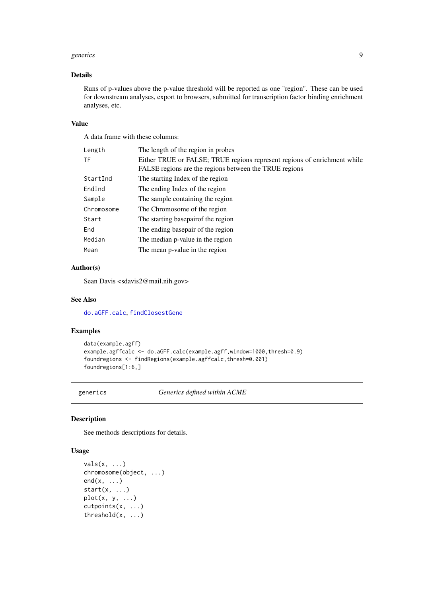#### <span id="page-8-0"></span>generics **9**

### Details

Runs of p-values above the p-value threshold will be reported as one "region". These can be used for downstream analyses, export to browsers, submitted for transcription factor binding enrichment analyses, etc.

# Value

A data frame with these columns:

| Length     | The length of the region in probes                                       |
|------------|--------------------------------------------------------------------------|
| TF         | Either TRUE or FALSE; TRUE regions represent regions of enrichment while |
|            | FALSE regions are the regions between the TRUE regions                   |
| StartInd   | The starting Index of the region                                         |
| EndInd     | The ending Index of the region                                           |
| Sample     | The sample containing the region                                         |
| Chromosome | The Chromosome of the region                                             |
| Start      | The starting basepair of the region                                      |
| End        | The ending basepair of the region                                        |
| Median     | The median p-value in the region                                         |
| Mean       | The mean p-value in the region                                           |
|            |                                                                          |

# Author(s)

Sean Davis <sdavis2@mail.nih.gov>

# See Also

[do.aGFF.calc](#page-5-1), [findClosestGene](#page-6-1)

# Examples

```
data(example.agff)
example.agffcalc <- do.aGFF.calc(example.agff,window=1000,thresh=0.9)
foundregions <- findRegions(example.agffcalc,thresh=0.001)
foundregions[1:6,]
```
generics *Generics defined within ACME*

#### Description

See methods descriptions for details.

# Usage

```
vals(x, ...)
chromosome(object, ...)
end(x, \ldots)start(x, \ldots)plot(x, y, ...)cutpoints(x, ...)
threshold(x, ...)
```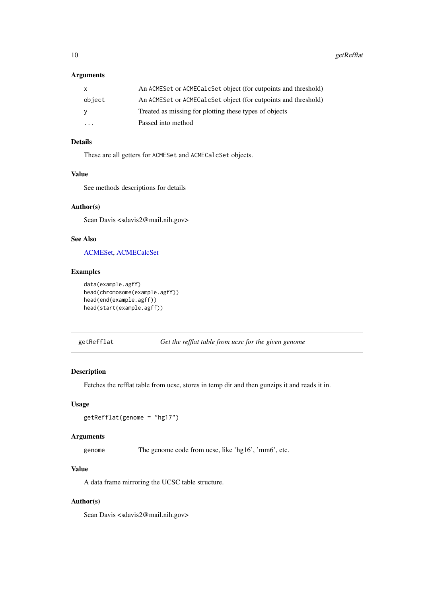# <span id="page-9-0"></span>Arguments

| X                       | An ACMESet or ACMECalcSet object (for cutpoints and threshold) |
|-------------------------|----------------------------------------------------------------|
| object                  | An ACMESet or ACMECalcSet object (for cutpoints and threshold) |
| <b>V</b>                | Treated as missing for plotting these types of objects         |
| $\cdot$ $\cdot$ $\cdot$ | Passed into method                                             |

# Details

These are all getters for ACMESet and ACMECalcSet objects.

# Value

See methods descriptions for details

# Author(s)

Sean Davis <sdavis2@mail.nih.gov>

# See Also

[ACMESet,](#page-2-1) [ACMECalcSet](#page-1-1)

# Examples

```
data(example.agff)
head(chromosome(example.agff))
head(end(example.agff))
head(start(example.agff))
```
<span id="page-9-1"></span>

getRefflat *Get the refflat table from ucsc for the given genome*

#### Description

Fetches the refflat table from ucsc, stores in temp dir and then gunzips it and reads it in.

# Usage

```
getRefflat(genome = "hg17")
```
# Arguments

genome The genome code from ucsc, like 'hg16', 'mm6', etc.

# Value

A data frame mirroring the UCSC table structure.

# Author(s)

Sean Davis <sdavis2@mail.nih.gov>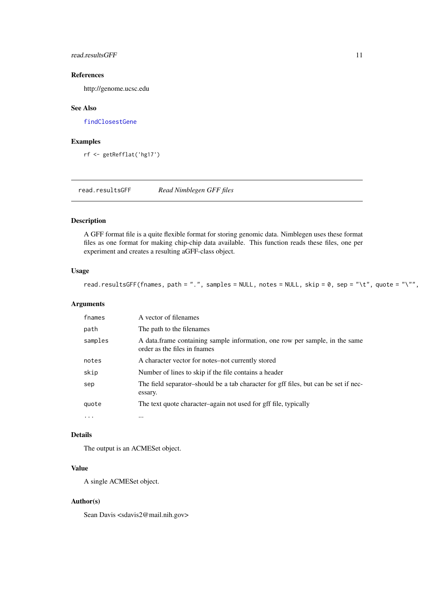<span id="page-10-0"></span>read.resultsGFF 11

# References

http://genome.ucsc.edu

# See Also

[findClosestGene](#page-6-1)

#### Examples

rf <- getRefflat('hg17')

<span id="page-10-1"></span>read.resultsGFF *Read Nimblegen GFF files*

# Description

A GFF format file is a quite flexible format for storing genomic data. Nimblegen uses these format files as one format for making chip-chip data available. This function reads these files, one per experiment and creates a resulting aGFF-class object.

# Usage

read.resultsGFF(fnames, path = ".", samples = NULL, notes = NULL, skip = 0, sep = "\t", quote = "\"",

# Arguments

| fnames  | A vector of filenames                                                                                       |
|---------|-------------------------------------------------------------------------------------------------------------|
| path    | The path to the filenames                                                                                   |
| samples | A data.frame containing sample information, one row per sample, in the same<br>order as the files in fnames |
| notes   | A character vector for notes-not currently stored                                                           |
| skip    | Number of lines to skip if the file contains a header                                                       |
| sep     | The field separator-should be a tab character for gff files, but can be set if nec-<br>essary.              |
| quote   | The text quote character-again not used for gff file, typically                                             |
| .       | $\cdots$                                                                                                    |

# Details

The output is an ACMESet object.

# Value

A single ACMESet object.

# Author(s)

Sean Davis <sdavis2@mail.nih.gov>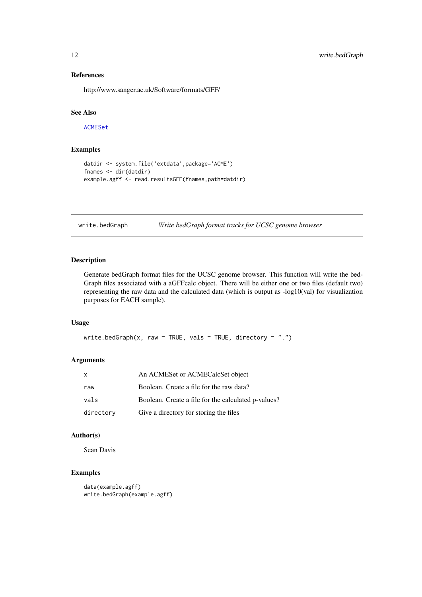### References

http://www.sanger.ac.uk/Software/formats/GFF/

# See Also

[ACMESet](#page-2-1)

# Examples

```
datdir <- system.file('extdata',package='ACME')
fnames <- dir(datdir)
example.agff <- read.resultsGFF(fnames,path=datdir)
```
write.bedGraph *Write bedGraph format tracks for UCSC genome browser*

# Description

Generate bedGraph format files for the UCSC genome browser. This function will write the bed-Graph files associated with a aGFFcalc object. There will be either one or two files (default two) representing the raw data and the calculated data (which is output as -log10(val) for visualization purposes for EACH sample).

# Usage

```
write.bedGraph(x, raw = TRUE, vals = TRUE, directory = ".")
```
# Arguments

| $\mathsf{X}$ | An ACMES et or ACMECalcS et object                  |
|--------------|-----------------------------------------------------|
| raw          | Boolean. Create a file for the raw data?            |
| vals         | Boolean. Create a file for the calculated p-values? |
| directory    | Give a directory for storing the files              |

### Author(s)

Sean Davis

# Examples

```
data(example.agff)
write.bedGraph(example.agff)
```
<span id="page-11-0"></span>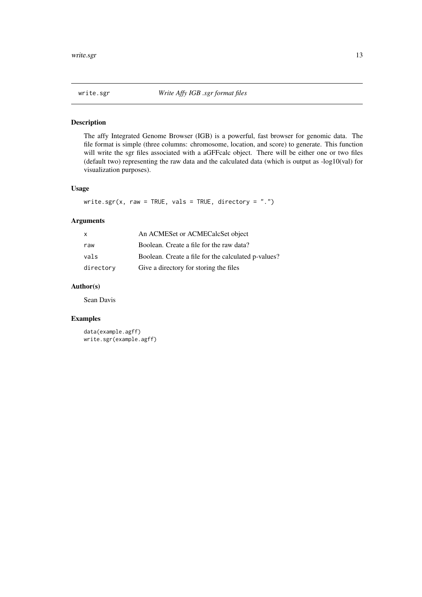<span id="page-12-0"></span>

# Description

The affy Integrated Genome Browser (IGB) is a powerful, fast browser for genomic data. The file format is simple (three columns: chromosome, location, and score) to generate. This function will write the sgr files associated with a aGFFcalc object. There will be either one or two files (default two) representing the raw data and the calculated data (which is output as -log10(val) for visualization purposes).

#### Usage

```
write.sgr(x, raw = TRUE, vals = TRUE, directory = ".")
```
# Arguments

| $\mathsf{X}$ | An ACMES et or ACMECalcS et object                  |
|--------------|-----------------------------------------------------|
| raw          | Boolean. Create a file for the raw data?            |
| vals         | Boolean. Create a file for the calculated p-values? |
| directory    | Give a directory for storing the files              |

# Author(s)

Sean Davis

# Examples

data(example.agff) write.sgr(example.agff)